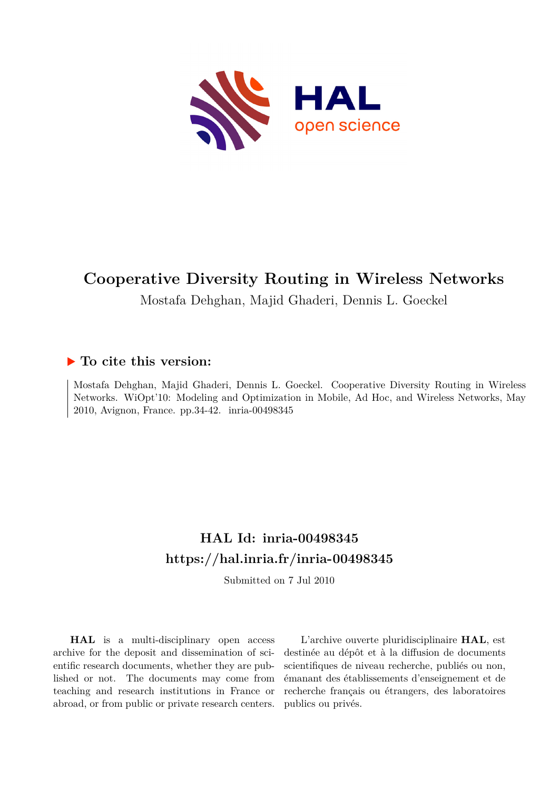

# **Cooperative Diversity Routing in Wireless Networks**

Mostafa Dehghan, Majid Ghaderi, Dennis L. Goeckel

# **To cite this version:**

Mostafa Dehghan, Majid Ghaderi, Dennis L. Goeckel. Cooperative Diversity Routing in Wireless Networks. WiOpt'10: Modeling and Optimization in Mobile, Ad Hoc, and Wireless Networks, May 2010, Avignon, France. pp. 34-42. inria-00498345

# **HAL Id: inria-00498345 <https://hal.inria.fr/inria-00498345>**

Submitted on 7 Jul 2010

**HAL** is a multi-disciplinary open access archive for the deposit and dissemination of scientific research documents, whether they are published or not. The documents may come from teaching and research institutions in France or abroad, or from public or private research centers.

L'archive ouverte pluridisciplinaire **HAL**, est destinée au dépôt et à la diffusion de documents scientifiques de niveau recherche, publiés ou non, émanant des établissements d'enseignement et de recherche français ou étrangers, des laboratoires publics ou privés.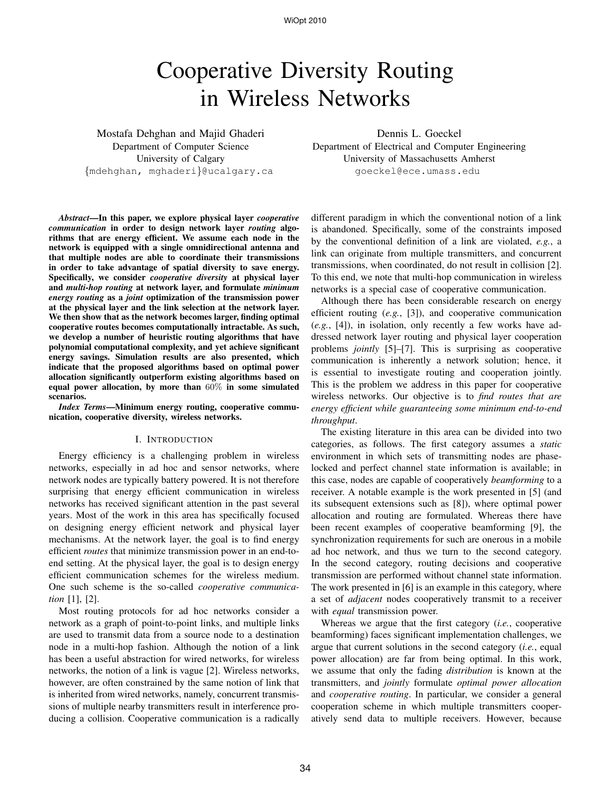WiOpt 2010

# Cooperative Diversity Routing in Wireless Networks

Mostafa Dehghan and Majid Ghaderi Department of Computer Science University of Calgary {mdehghan, mghaderi}@ucalgary.ca

*Abstract*—In this paper, we explore physical layer *cooperative communication* in order to design network layer *routing* algorithms that are energy efficient. We assume each node in the network is equipped with a single omnidirectional antenna and that multiple nodes are able to coordinate their transmissions in order to take advantage of spatial diversity to save energy. Specifically, we consider *cooperative diversity* at physical layer and *multi-hop routing* at network layer, and formulate *minimum energy routing* as a *joint* optimization of the transmission power at the physical layer and the link selection at the network layer. We then show that as the network becomes larger, finding optimal cooperative routes becomes computationally intractable. As such, we develop a number of heuristic routing algorithms that have polynomial computational complexity, and yet achieve significant energy savings. Simulation results are also presented, which indicate that the proposed algorithms based on optimal power allocation significantly outperform existing algorithms based on equal power allocation, by more than 60% in some simulated scenarios.

*Index Terms*—Minimum energy routing, cooperative communication, cooperative diversity, wireless networks.

# I. INTRODUCTION

Energy efficiency is a challenging problem in wireless networks, especially in ad hoc and sensor networks, where network nodes are typically battery powered. It is not therefore surprising that energy efficient communication in wireless networks has received significant attention in the past several years. Most of the work in this area has specifically focused on designing energy efficient network and physical layer mechanisms. At the network layer, the goal is to find energy efficient *routes* that minimize transmission power in an end-toend setting. At the physical layer, the goal is to design energy efficient communication schemes for the wireless medium. One such scheme is the so-called *cooperative communication* [1], [2].

Most routing protocols for ad hoc networks consider a network as a graph of point-to-point links, and multiple links are used to transmit data from a source node to a destination node in a multi-hop fashion. Although the notion of a link has been a useful abstraction for wired networks, for wireless networks, the notion of a link is vague [2]. Wireless networks, however, are often constrained by the same notion of link that is inherited from wired networks, namely, concurrent transmissions of multiple nearby transmitters result in interference producing a collision. Cooperative communication is a radically

Dennis L. Goeckel Department of Electrical and Computer Engineering

University of Massachusetts Amherst goeckel@ece.umass.edu

different paradigm in which the conventional notion of a link is abandoned. Specifically, some of the constraints imposed by the conventional definition of a link are violated, *e.g.*, a link can originate from multiple transmitters, and concurrent transmissions, when coordinated, do not result in collision [2]. To this end, we note that multi-hop communication in wireless networks is a special case of cooperative communication.

Although there has been considerable research on energy efficient routing (*e.g.*, [3]), and cooperative communication (*e.g.*, [4]), in isolation, only recently a few works have addressed network layer routing and physical layer cooperation problems *jointly* [5]–[7]. This is surprising as cooperative communication is inherently a network solution; hence, it is essential to investigate routing and cooperation jointly. This is the problem we address in this paper for cooperative wireless networks. Our objective is to *find routes that are energy efficient while guaranteeing some minimum end-to-end throughput*.

The existing literature in this area can be divided into two categories, as follows. The first category assumes a *static* environment in which sets of transmitting nodes are phaselocked and perfect channel state information is available; in this case, nodes are capable of cooperatively *beamforming* to a receiver. A notable example is the work presented in [5] (and its subsequent extensions such as [8]), where optimal power allocation and routing are formulated. Whereas there have been recent examples of cooperative beamforming [9], the synchronization requirements for such are onerous in a mobile ad hoc network, and thus we turn to the second category. In the second category, routing decisions and cooperative transmission are performed without channel state information. The work presented in [6] is an example in this category, where a set of *adjacent* nodes cooperatively transmit to a receiver with *equal* transmission power.

Whereas we argue that the first category (*i.e.*, cooperative beamforming) faces significant implementation challenges, we argue that current solutions in the second category (*i.e.*, equal power allocation) are far from being optimal. In this work, we assume that only the fading *distribution* is known at the transmitters, and *jointly* formulate *optimal power allocation* and *cooperative routing*. In particular, we consider a general cooperation scheme in which multiple transmitters cooperatively send data to multiple receivers. However, because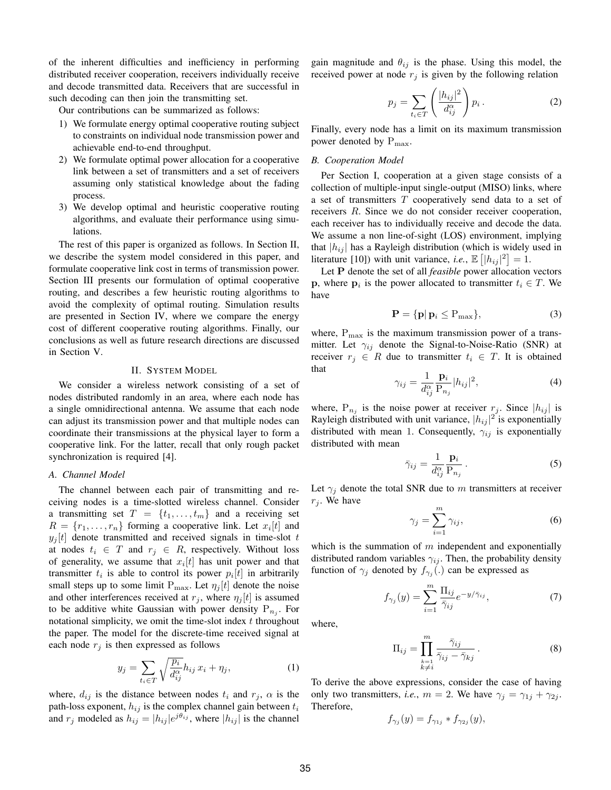of the inherent difficulties and inefficiency in performing distributed receiver cooperation, receivers individually receive and decode transmitted data. Receivers that are successful in such decoding can then join the transmitting set.

Our contributions can be summarized as follows:

- 1) We formulate energy optimal cooperative routing subject to constraints on individual node transmission power and achievable end-to-end throughput.
- 2) We formulate optimal power allocation for a cooperative link between a set of transmitters and a set of receivers assuming only statistical knowledge about the fading process.
- 3) We develop optimal and heuristic cooperative routing algorithms, and evaluate their performance using simulations.

The rest of this paper is organized as follows. In Section II, we describe the system model considered in this paper, and formulate cooperative link cost in terms of transmission power. Section III presents our formulation of optimal cooperative routing, and describes a few heuristic routing algorithms to avoid the complexity of optimal routing. Simulation results are presented in Section IV, where we compare the energy cost of different cooperative routing algorithms. Finally, our conclusions as well as future research directions are discussed in Section V.

#### II. SYSTEM MODEL

We consider a wireless network consisting of a set of nodes distributed randomly in an area, where each node has a single omnidirectional antenna. We assume that each node can adjust its transmission power and that multiple nodes can coordinate their transmissions at the physical layer to form a cooperative link. For the latter, recall that only rough packet synchronization is required [4].

# *A. Channel Model*

The channel between each pair of transmitting and receiving nodes is a time-slotted wireless channel. Consider a transmitting set  $T = \{t_1, \ldots, t_m\}$  and a receiving set  $R = \{r_1, \ldots, r_n\}$  forming a cooperative link. Let  $x_i[t]$  and  $y_j[t]$  denote transmitted and received signals in time-slot t at nodes  $t_i \in T$  and  $r_i \in R$ , respectively. Without loss of generality, we assume that  $x_i[t]$  has unit power and that transmitter  $t_i$  is able to control its power  $p_i[t]$  in arbitrarily small steps up to some limit  $P_{\text{max}}$ . Let  $\eta_i[t]$  denote the noise and other interferences received at  $r_j$ , where  $\eta_j[t]$  is assumed to be additive white Gaussian with power density  $P_{n_j}$ . For notational simplicity, we omit the time-slot index  $t$  throughout the paper. The model for the discrete-time received signal at each node  $r_j$  is then expressed as follows

$$
y_j = \sum_{t_i \in T} \sqrt{\frac{p_i}{d_{ij}^{\alpha}}} h_{ij} x_i + \eta_j,
$$
 (1)

where,  $d_{ij}$  is the distance between nodes  $t_i$  and  $r_j$ ,  $\alpha$  is the path-loss exponent,  $h_{ij}$  is the complex channel gain between  $t_i$ and  $r_j$  modeled as  $h_{ij} = |h_{ij}|e^{j\theta_{ij}}$ , where  $|h_{ij}|$  is the channel gain magnitude and  $\theta_{ij}$  is the phase. Using this model, the received power at node  $r_j$  is given by the following relation

$$
p_j = \sum_{t_i \in T} \left( \frac{|h_{ij}|^2}{d_{ij}^{\alpha}} \right) p_i.
$$
 (2)

Finally, every node has a limit on its maximum transmission power denoted by  $P_{\text{max}}$ .

# *B. Cooperation Model*

Per Section I, cooperation at a given stage consists of a collection of multiple-input single-output (MISO) links, where a set of transmitters T cooperatively send data to a set of receivers R. Since we do not consider receiver cooperation, each receiver has to individually receive and decode the data. We assume a non line-of-sight (LOS) environment, implying that  $|h_{ij}|$  has a Rayleigh distribution (which is widely used in literature [10]) with unit variance, *i.e.*,  $\mathbb{E} [ |h_{ij}|^2 ] = 1$ .

Let P denote the set of all *feasible* power allocation vectors **p**, where  $p_i$  is the power allocated to transmitter  $t_i \in T$ . We have

$$
\mathbf{P} = \{ \mathbf{p} | \mathbf{p}_i \le \mathbf{P}_{\text{max}} \},\tag{3}
$$

where,  $P_{\text{max}}$  is the maximum transmission power of a transmitter. Let  $\gamma_{ij}$  denote the Signal-to-Noise-Ratio (SNR) at receiver  $r_i \in R$  due to transmitter  $t_i \in T$ . It is obtained that

$$
\gamma_{ij} = \frac{1}{d_{ij}^{\alpha}} \frac{\mathbf{p}_i}{\mathbf{P}_{n_j}} |h_{ij}|^2, \tag{4}
$$

where,  $P_{n_j}$  is the noise power at receiver  $r_j$ . Since  $|h_{ij}|$  is Rayleigh distributed with unit variance,  $|h_{ij}|^2$  is exponentially distributed with mean 1. Consequently,  $\gamma_{ij}$  is exponentially distributed with mean

$$
\bar{\gamma}_{ij} = \frac{1}{d_{ij}^{\alpha}} \frac{\mathbf{p}_i}{\mathbf{P}_{n_j}}.
$$
\n(5)

Let  $\gamma_i$  denote the total SNR due to m transmitters at receiver  $r_i$ . We have

$$
\gamma_j = \sum_{i=1}^m \gamma_{ij},\tag{6}
$$

which is the summation of  $m$  independent and exponentially distributed random variables  $\gamma_{ij}$ . Then, the probability density function of  $\gamma_j$  denoted by  $f_{\gamma_j}(\cdot)$  can be expressed as

$$
f_{\gamma_j}(y) = \sum_{i=1}^m \frac{\Pi_{ij}}{\bar{\gamma}_{ij}} e^{-y/\bar{\gamma}_{ij}}, \tag{7}
$$

where,

$$
\Pi_{ij} = \prod_{\substack{k=1 \ k \neq i}}^m \frac{\bar{\gamma}_{ij}}{\bar{\gamma}_{ij} - \bar{\gamma}_{kj}}.
$$
\n(8)

To derive the above expressions, consider the case of having only two transmitters, *i.e.*,  $m = 2$ . We have  $\gamma_i = \gamma_{1i} + \gamma_{2i}$ . Therefore,

$$
f_{\gamma_j}(y) = f_{\gamma_{1j}} * f_{\gamma_{2j}}(y),
$$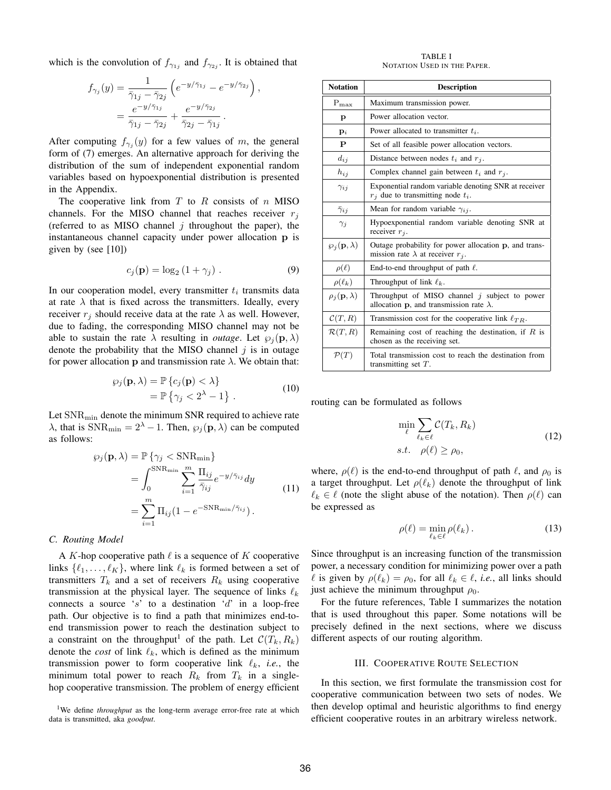which is the convolution of  $f_{\gamma_{1j}}$  and  $f_{\gamma_{2j}}$ . It is obtained that

$$
f_{\gamma_j}(y) = \frac{1}{\overline{\gamma}_{1j} - \overline{\gamma}_{2j}} \left( e^{-y/\overline{\gamma}_{1j}} - e^{-y/\overline{\gamma}_{2j}} \right),
$$
  
= 
$$
\frac{e^{-y/\overline{\gamma}_{1j}}}{\overline{\gamma}_{1j} - \overline{\gamma}_{2j}} + \frac{e^{-y/\overline{\gamma}_{2j}}}{\overline{\gamma}_{2j} - \overline{\gamma}_{1j}}.
$$

After computing  $f_{\gamma_j}(y)$  for a few values of m, the general form of (7) emerges. An alternative approach for deriving the distribution of the sum of independent exponential random variables based on hypoexponential distribution is presented in the Appendix.

The cooperative link from  $T$  to  $R$  consists of  $n$  MISO channels. For the MISO channel that reaches receiver  $r_j$ (referred to as MISO channel  $j$  throughout the paper), the instantaneous channel capacity under power allocation p is given by (see [10])

$$
c_j(\mathbf{p}) = \log_2\left(1 + \gamma_j\right). \tag{9}
$$

In our cooperation model, every transmitter  $t_i$  transmits data at rate  $\lambda$  that is fixed across the transmitters. Ideally, every receiver  $r_i$  should receive data at the rate  $\lambda$  as well. However, due to fading, the corresponding MISO channel may not be able to sustain the rate  $\lambda$  resulting in *outage*. Let  $\varphi_i(\mathbf{p}, \lambda)$ denote the probability that the MISO channel  $j$  is in outage for power allocation p and transmission rate  $\lambda$ . We obtain that:

$$
\wp_j(\mathbf{p}, \lambda) = \mathbb{P}\left\{c_j(\mathbf{p}) < \lambda\right\} \n= \mathbb{P}\left\{\gamma_j < 2^{\lambda} - 1\right\} .
$$
\n(10)

Let  $SNR_{\text{min}}$  denote the minimum SNR required to achieve rate  $\lambda$ , that is SNR<sub>min</sub> =  $2^{\lambda} - 1$ . Then,  $\wp_j(\mathbf{p}, \lambda)$  can be computed as follows:

$$
\wp_j(\mathbf{p}, \lambda) = \mathbb{P}\left\{\gamma_j < \text{SNR}_{\text{min}}\right\}
$$
\n
$$
= \int_0^{\text{SNR}_{\text{min}}} \sum_{i=1}^m \frac{\Pi_{ij}}{\bar{\gamma}_{ij}} e^{-y/\bar{\gamma}_{ij}} dy
$$
\n
$$
= \sum_{i=1}^m \Pi_{ij} (1 - e^{-\text{SNR}_{\text{min}}/\bar{\gamma}_{ij}}).
$$
\n(11)

#### *C. Routing Model*

A K-hop cooperative path  $\ell$  is a sequence of K cooperative links  $\{\ell_1, \ldots, \ell_K\}$ , where link  $\ell_k$  is formed between a set of transmitters  $T_k$  and a set of receivers  $R_k$  using cooperative transmission at the physical layer. The sequence of links  $\ell_k$ connects a source 's' to a destination 'd' in a loop-free path. Our objective is to find a path that minimizes end-toend transmission power to reach the destination subject to a constraint on the throughput<sup>1</sup> of the path. Let  $\mathcal{C}(T_k, R_k)$ denote the *cost* of link  $\ell_k$ , which is defined as the minimum transmission power to form cooperative link  $\ell_k$ , *i.e.*, the minimum total power to reach  $R_k$  from  $T_k$  in a singlehop cooperative transmission. The problem of energy efficient

<sup>1</sup>We define *throughput* as the long-term average error-free rate at which data is transmitted, aka *goodput*.

TABLE I NOTATION USED IN THE PAPER.

| <b>Notation</b>              | <b>Description</b>                                                                                         |
|------------------------------|------------------------------------------------------------------------------------------------------------|
| $P_{\text{max}}$             | Maximum transmission power.                                                                                |
| p                            | Power allocation vector.                                                                                   |
| $\mathbf{p}_i$               | Power allocated to transmitter $t_i$ .                                                                     |
| P                            | Set of all feasible power allocation vectors.                                                              |
| $d_{ij}$                     | Distance between nodes $t_i$ and $r_i$ .                                                                   |
| $h_{ij}$                     | Complex channel gain between $t_i$ and $r_i$ .                                                             |
| $\gamma_{ii}$                | Exponential random variable denoting SNR at receiver<br>$r_j$ due to transmitting node $t_i$ .             |
| $\bar{\gamma}_{ij}$          | Mean for random variable $\gamma_{ij}$ .                                                                   |
| $\gamma_j$                   | Hypoexponential random variable denoting SNR at<br>receiver $r_j$ .                                        |
| $\wp_i(\mathbf{p},\lambda)$  | Outage probability for power allocation p, and trans-<br>mission rate $\lambda$ at receiver $r_j$ .        |
| $\rho(\ell)$                 | End-to-end throughput of path $\ell$ .                                                                     |
| $\rho(\ell_k)$               | Throughput of link $\ell_k$ .                                                                              |
| $\rho_i(\mathbf{p},\lambda)$ | Throughput of MISO channel $j$ subject to power<br>allocation <b>p</b> , and transmission rate $\lambda$ . |
| $\mathcal{C}(T,R)$           | Transmission cost for the cooperative link $\ell_{TR}$ .                                                   |
| $\mathcal{R}(T,R)$           | Remaining cost of reaching the destination, if $R$ is<br>chosen as the receiving set.                      |
| $\mathcal{P}(T)$             | Total transmission cost to reach the destination from<br>transmitting set $T$ .                            |

routing can be formulated as follows

$$
\min_{\ell} \sum_{\ell_k \in \ell} C(T_k, R_k)
$$
  
s.t.  $\rho(\ell) \ge \rho_0$ , (12)

where,  $\rho(\ell)$  is the end-to-end throughput of path  $\ell$ , and  $\rho_0$  is a target throughput. Let  $\rho(\ell_k)$  denote the throughput of link  $\ell_k \in \ell$  (note the slight abuse of the notation). Then  $\rho(\ell)$  can be expressed as

$$
\rho(\ell) = \min_{\ell_k \in \ell} \rho(\ell_k). \tag{13}
$$

Since throughput is an increasing function of the transmission power, a necessary condition for minimizing power over a path  $\ell$  is given by  $\rho(\ell_k) = \rho_0$ , for all  $\ell_k \in \ell$ , *i.e.*, all links should just achieve the minimum throughput  $\rho_0$ .

For the future references, Table I summarizes the notation that is used throughout this paper. Some notations will be precisely defined in the next sections, where we discuss different aspects of our routing algorithm.

## III. COOPERATIVE ROUTE SELECTION

In this section, we first formulate the transmission cost for cooperative communication between two sets of nodes. We then develop optimal and heuristic algorithms to find energy efficient cooperative routes in an arbitrary wireless network.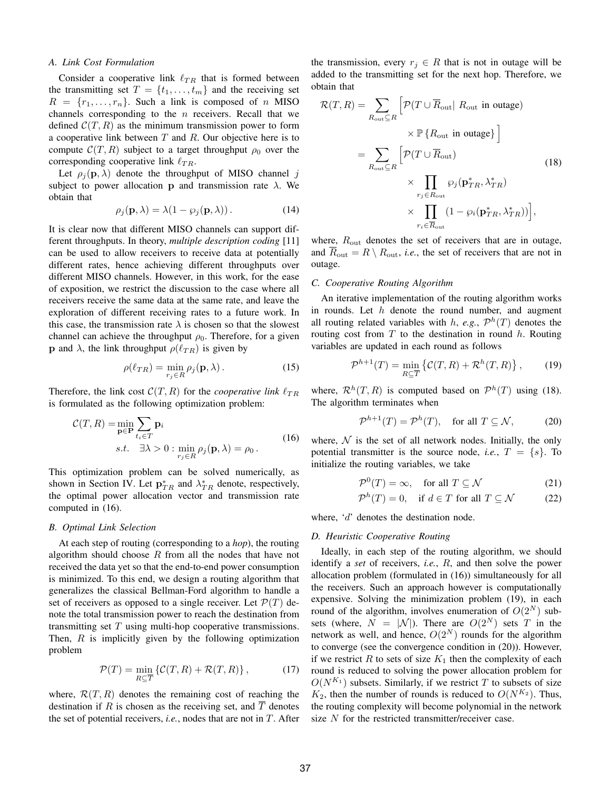#### *A. Link Cost Formulation*

Consider a cooperative link  $\ell_{TR}$  that is formed between the transmitting set  $T = \{t_1, \ldots, t_m\}$  and the receiving set  $R = \{r_1, \ldots, r_n\}$ . Such a link is composed of n MISO channels corresponding to the  $n$  receivers. Recall that we defined  $\mathcal{C}(T, R)$  as the minimum transmission power to form a cooperative link between  $T$  and  $R$ . Our objective here is to compute  $\mathcal{C}(T, R)$  subject to a target throughput  $\rho_0$  over the corresponding cooperative link  $\ell_{TR}$ .

Let  $\rho_i(\mathbf{p}, \lambda)$  denote the throughput of MISO channel j subject to power allocation p and transmission rate  $\lambda$ . We obtain that

$$
\rho_j(\mathbf{p}, \lambda) = \lambda (1 - \wp_j(\mathbf{p}, \lambda)). \tag{14}
$$

It is clear now that different MISO channels can support different throughputs. In theory, *multiple description coding* [11] can be used to allow receivers to receive data at potentially different rates, hence achieving different throughputs over different MISO channels. However, in this work, for the ease of exposition, we restrict the discussion to the case where all receivers receive the same data at the same rate, and leave the exploration of different receiving rates to a future work. In this case, the transmission rate  $\lambda$  is chosen so that the slowest channel can achieve the throughput  $\rho_0$ . Therefore, for a given **p** and  $\lambda$ , the link throughput  $\rho(\ell_{TR})$  is given by

$$
\rho(\ell_{TR}) = \min_{r_j \in R} \rho_j(\mathbf{p}, \lambda).
$$
 (15)

Therefore, the link cost  $C(T, R)$  for the *cooperative link*  $\ell_{TR}$ is formulated as the following optimization problem:

$$
\mathcal{C}(T,R) = \min_{\mathbf{p} \in \mathbf{P}} \sum_{t_i \in T} \mathbf{p}_i
$$
  
s.t.  $\exists \lambda > 0 : \min_{r_j \in R} \rho_j(\mathbf{p}, \lambda) = \rho_0$ . (16)

This optimization problem can be solved numerically, as shown in Section IV. Let  $p_{TR}^*$  and  $\lambda_{TR}^*$  denote, respectively, the optimal power allocation vector and transmission rate computed in (16).

# *B. Optimal Link Selection*

At each step of routing (corresponding to a *hop*), the routing algorithm should choose  $R$  from all the nodes that have not received the data yet so that the end-to-end power consumption is minimized. To this end, we design a routing algorithm that generalizes the classical Bellman-Ford algorithm to handle a set of receivers as opposed to a single receiver. Let  $\mathcal{P}(T)$  denote the total transmission power to reach the destination from transmitting set  $T$  using multi-hop cooperative transmissions. Then,  $R$  is implicitly given by the following optimization problem

$$
\mathcal{P}(T) = \min_{R \subseteq \overline{T}} \left\{ \mathcal{C}(T, R) + \mathcal{R}(T, R) \right\},\tag{17}
$$

where,  $\mathcal{R}(T, R)$  denotes the remaining cost of reaching the destination if R is chosen as the receiving set, and  $\overline{T}$  denotes the set of potential receivers, *i.e.*, nodes that are not in T. After the transmission, every  $r_j \in R$  that is not in outage will be added to the transmitting set for the next hop. Therefore, we obtain that

$$
\mathcal{R}(T,R) = \sum_{R_{\text{out}} \subseteq R} \left[ \mathcal{P}(T \cup \overline{R}_{\text{out}} | R_{\text{out}} \text{ in outage}) \times \mathbb{P} \{R_{\text{out}} \text{ in outage}\} \right]
$$
  
= 
$$
\sum_{R_{\text{out}} \subseteq R} \left[ \mathcal{P}(T \cup \overline{R}_{\text{out}}) \times \prod_{r_j \in R_{\text{out}}} \wp_j(\mathbf{p}_{TR}^*, \lambda_{TR}^*) \times \prod_{r_i \in \overline{R}_{\text{out}}} (1 - \wp_i(\mathbf{p}_{TR}^*, \lambda_{TR}^*)) \right],
$$
 (18)

where,  $R_{\text{out}}$  denotes the set of receivers that are in outage, and  $R_{\text{out}} = R \setminus R_{\text{out}}$ , *i.e.*, the set of receivers that are not in outage.

#### *C. Cooperative Routing Algorithm*

An iterative implementation of the routing algorithm works in rounds. Let  $h$  denote the round number, and augment all routing related variables with  $h$ , *e.g.*,  $\mathcal{P}^h(T)$  denotes the routing cost from  $T$  to the destination in round  $h$ . Routing variables are updated in each round as follows

$$
\mathcal{P}^{h+1}(T) = \min_{R \subseteq \overline{T}} \left\{ \mathcal{C}(T,R) + \mathcal{R}^h(T,R) \right\},\qquad(19)
$$

where,  $\mathcal{R}^{h}(T, R)$  is computed based on  $\mathcal{P}^{h}(T)$  using (18). The algorithm terminates when

$$
\mathcal{P}^{h+1}(T) = \mathcal{P}^h(T), \quad \text{for all } T \subseteq \mathcal{N}, \tag{20}
$$

where,  $N$  is the set of all network nodes. Initially, the only potential transmitter is the source node, *i.e.*,  $T = \{s\}$ . To initialize the routing variables, we take

$$
\mathcal{P}^0(T) = \infty, \quad \text{for all } T \subseteq \mathcal{N} \tag{21}
$$

$$
\mathcal{P}^h(T) = 0, \quad \text{if } d \in T \text{ for all } T \subseteq \mathcal{N} \tag{22}
$$

where, 'd' denotes the destination node.

#### *D. Heuristic Cooperative Routing*

Ideally, in each step of the routing algorithm, we should identify a *set* of receivers, *i.e.*, R, and then solve the power allocation problem (formulated in (16)) simultaneously for all the receivers. Such an approach however is computationally expensive. Solving the minimization problem (19), in each round of the algorithm, involves enumeration of  $O(2^N)$  subsets (where,  $N = |\mathcal{N}|$ ). There are  $O(2^N)$  sets T in the network as well, and hence,  $O(2^N)$  rounds for the algorithm to converge (see the convergence condition in (20)). However, if we restrict R to sets of size  $K_1$  then the complexity of each round is reduced to solving the power allocation problem for  $O(N^{K_1})$  subsets. Similarly, if we restrict T to subsets of size  $K_2$ , then the number of rounds is reduced to  $O(N^{K_2})$ . Thus, the routing complexity will become polynomial in the network size  $N$  for the restricted transmitter/receiver case.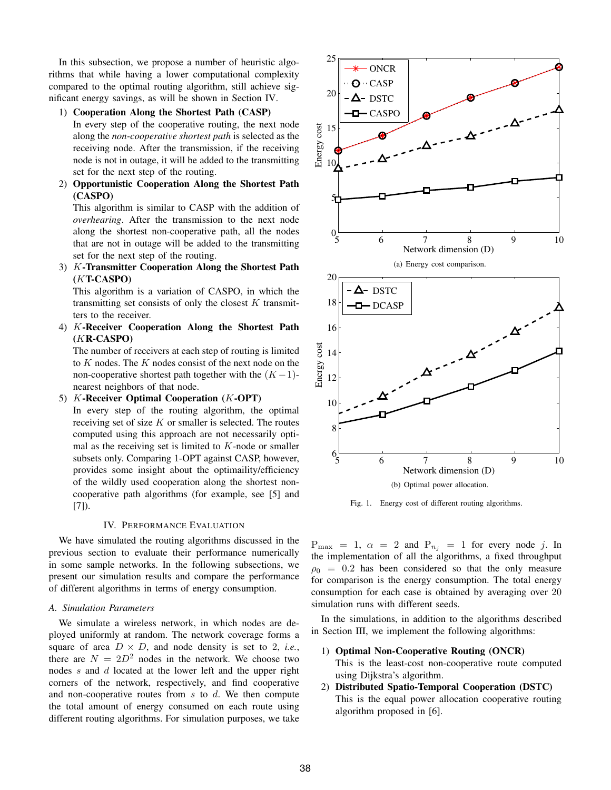In this subsection, we propose a number of heuristic algorithms that while having a lower computational complexity compared to the optimal routing algorithm, still achieve significant energy savings, as will be shown in Section IV.

1) Cooperation Along the Shortest Path (CASP)

In every step of the cooperative routing, the next node along the *non-cooperative shortest path* is selected as the receiving node. After the transmission, if the receiving node is not in outage, it will be added to the transmitting set for the next step of the routing.

2) Opportunistic Cooperation Along the Shortest Path (CASPO)

This algorithm is similar to CASP with the addition of *overhearing*. After the transmission to the next node along the shortest non-cooperative path, all the nodes that are not in outage will be added to the transmitting set for the next step of the routing.

3) K-Transmitter Cooperation Along the Shortest Path (KT-CASPO)

This algorithm is a variation of CASPO, in which the transmitting set consists of only the closest  $K$  transmitters to the receiver.

4) K-Receiver Cooperation Along the Shortest Path (KR-CASPO)

The number of receivers at each step of routing is limited to K nodes. The K nodes consist of the next node on the non-cooperative shortest path together with the  $(K-1)$ nearest neighbors of that node.

5)  $K$ -Receiver Optimal Cooperation  $(K$ -OPT)

In every step of the routing algorithm, the optimal receiving set of size  $K$  or smaller is selected. The routes computed using this approach are not necessarily optimal as the receiving set is limited to  $K$ -node or smaller subsets only. Comparing 1-OPT against CASP, however, provides some insight about the optimaility/efficiency of the wildly used cooperation along the shortest noncooperative path algorithms (for example, see [5] and [7]).

# IV. PERFORMANCE EVALUATION

We have simulated the routing algorithms discussed in the previous section to evaluate their performance numerically in some sample networks. In the following subsections, we present our simulation results and compare the performance of different algorithms in terms of energy consumption.

# *A. Simulation Parameters*

We simulate a wireless network, in which nodes are deployed uniformly at random. The network coverage forms a square of area  $D \times D$ , and node density is set to 2, *i.e.*, there are  $N = 2D^2$  nodes in the network. We choose two nodes s and d located at the lower left and the upper right corners of the network, respectively, and find cooperative and non-cooperative routes from  $s$  to  $d$ . We then compute the total amount of energy consumed on each route using different routing algorithms. For simulation purposes, we take



Fig. 1. Energy cost of different routing algorithms.

 $P_{\text{max}} = 1$ ,  $\alpha = 2$  and  $P_{n_i} = 1$  for every node j. In the implementation of all the algorithms, a fixed throughput  $\rho_0 = 0.2$  has been considered so that the only measure for comparison is the energy consumption. The total energy consumption for each case is obtained by averaging over 20 simulation runs with different seeds.

In the simulations, in addition to the algorithms described in Section III, we implement the following algorithms:

1) Optimal Non-Cooperative Routing (ONCR)

This is the least-cost non-cooperative route computed using Dijkstra's algorithm.

2) Distributed Spatio-Temporal Cooperation (DSTC) This is the equal power allocation cooperative routing algorithm proposed in [6].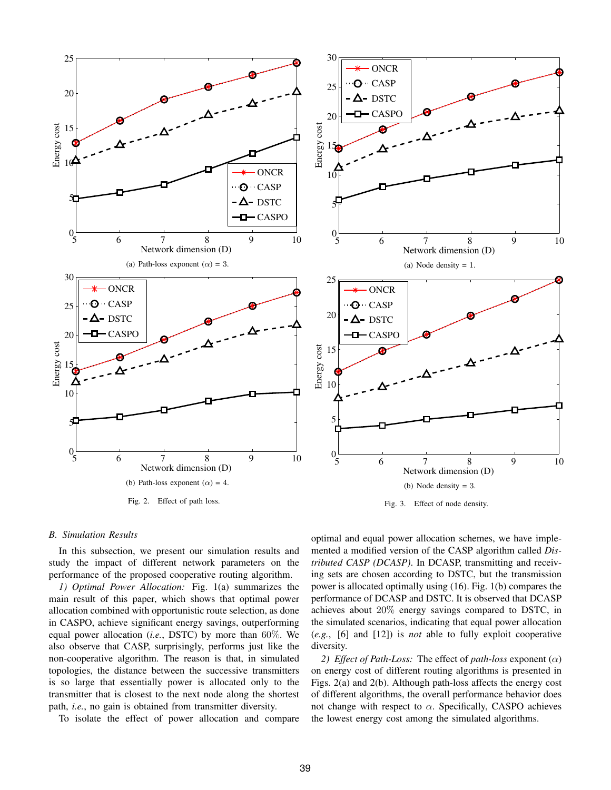

#### *B. Simulation Results*

In this subsection, we present our simulation results and study the impact of different network parameters on the performance of the proposed cooperative routing algorithm.

*1) Optimal Power Allocation:* Fig. 1(a) summarizes the main result of this paper, which shows that optimal power allocation combined with opportunistic route selection, as done in CASPO, achieve significant energy savings, outperforming equal power allocation (*i.e.*, DSTC) by more than 60%. We also observe that CASP, surprisingly, performs just like the non-cooperative algorithm. The reason is that, in simulated topologies, the distance between the successive transmitters is so large that essentially power is allocated only to the transmitter that is closest to the next node along the shortest path, *i.e.*, no gain is obtained from transmitter diversity.

To isolate the effect of power allocation and compare

optimal and equal power allocation schemes, we have implemented a modified version of the CASP algorithm called *Distributed CASP (DCASP)*. In DCASP, transmitting and receiving sets are chosen according to DSTC, but the transmission power is allocated optimally using (16). Fig. 1(b) compares the performance of DCASP and DSTC. It is observed that DCASP achieves about 20% energy savings compared to DSTC, in the simulated scenarios, indicating that equal power allocation (*e.g.*, [6] and [12]) is *not* able to fully exploit cooperative diversity.

*2) Effect of Path-Loss:* The effect of *path-loss* exponent (α) on energy cost of different routing algorithms is presented in Figs. 2(a) and 2(b). Although path-loss affects the energy cost of different algorithms, the overall performance behavior does not change with respect to  $\alpha$ . Specifically, CASPO achieves the lowest energy cost among the simulated algorithms.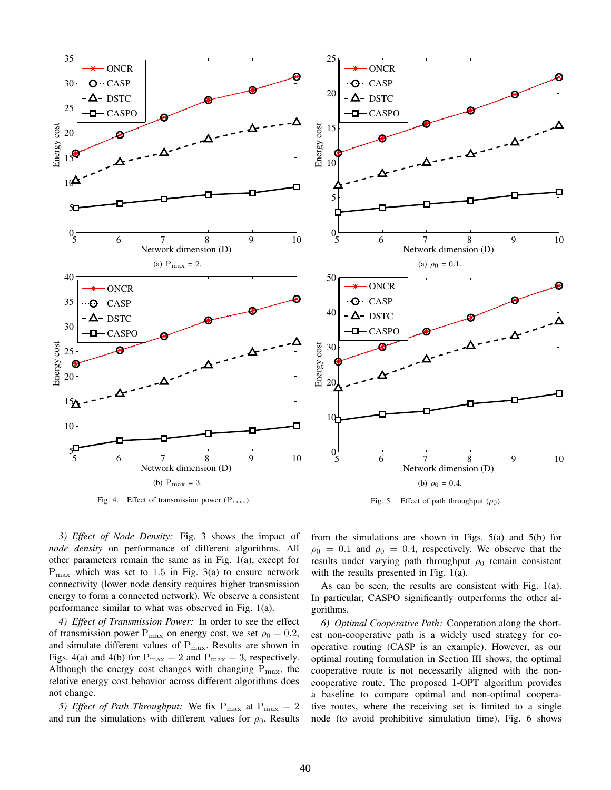

Fig. 4. Effect of transmission power  $(P_{\text{max}})$ .

Fig. 5. Effect of path throughput  $(\rho_0)$ .

*3) Effect of Node Density:* Fig. 3 shows the impact of *node density* on performance of different algorithms. All other parameters remain the same as in Fig. 1(a), except for  $P_{\text{max}}$  which was set to 1.5 in Fig. 3(a) to ensure network connectivity (lower node density requires higher transmission energy to form a connected network). We observe a consistent performance similar to what was observed in Fig. 1(a).

*4) Effect of Transmission Power:* In order to see the effect of transmission power  $P_{\text{max}}$  on energy cost, we set  $\rho_0 = 0.2$ , and simulate different values of  $P_{\text{max}}$ . Results are shown in Figs. 4(a) and 4(b) for  $P_{\text{max}} = 2$  and  $P_{\text{max}} = 3$ , respectively. Although the energy cost changes with changing  $P_{\text{max}}$ , the relative energy cost behavior across different algorithms does not change.

5) *Effect of Path Throughput:* We fix  $P_{\text{max}}$  at  $P_{\text{max}} = 2$ and run the simulations with different values for  $\rho_0$ . Results from the simulations are shown in Figs.  $5(a)$  and  $5(b)$  for  $\rho_0 = 0.1$  and  $\rho_0 = 0.4$ , respectively. We observe that the results under varying path throughput  $\rho_0$  remain consistent with the results presented in Fig. 1(a).

As can be seen, the results are consistent with Fig. 1(a). In particular, CASPO significantly outperforms the other algorithms.

*6) Optimal Cooperative Path:* Cooperation along the shortest non-cooperative path is a widely used strategy for cooperative routing (CASP is an example). However, as our optimal routing formulation in Section III shows, the optimal cooperative route is not necessarily aligned with the noncooperative route. The proposed 1-OPT algorithm provides a baseline to compare optimal and non-optimal cooperative routes, where the receiving set is limited to a single node (to avoid prohibitive simulation time). Fig. 6 shows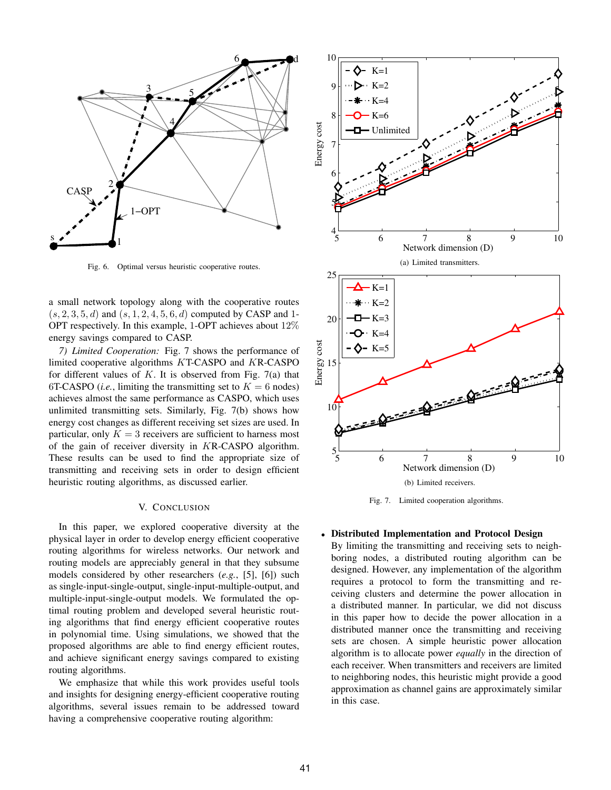

Fig. 6. Optimal versus heuristic cooperative routes.

a small network topology along with the cooperative routes  $(s, 2, 3, 5, d)$  and  $(s, 1, 2, 4, 5, 6, d)$  computed by CASP and 1-OPT respectively. In this example, 1-OPT achieves about 12% energy savings compared to CASP.

*7) Limited Cooperation:* Fig. 7 shows the performance of limited cooperative algorithms KT-CASPO and KR-CASPO for different values of  $K$ . It is observed from Fig. 7(a) that 6T-CASPO *(i.e.*, limiting the transmitting set to  $K = 6$  nodes) achieves almost the same performance as CASPO, which uses unlimited transmitting sets. Similarly, Fig. 7(b) shows how energy cost changes as different receiving set sizes are used. In particular, only  $K = 3$  receivers are sufficient to harness most of the gain of receiver diversity in KR-CASPO algorithm. These results can be used to find the appropriate size of transmitting and receiving sets in order to design efficient heuristic routing algorithms, as discussed earlier.

# V. CONCLUSION

In this paper, we explored cooperative diversity at the physical layer in order to develop energy efficient cooperative routing algorithms for wireless networks. Our network and routing models are appreciably general in that they subsume models considered by other researchers (*e.g.*, [5], [6]) such as single-input-single-output, single-input-multiple-output, and multiple-input-single-output models. We formulated the optimal routing problem and developed several heuristic routing algorithms that find energy efficient cooperative routes in polynomial time. Using simulations, we showed that the proposed algorithms are able to find energy efficient routes, and achieve significant energy savings compared to existing routing algorithms.

We emphasize that while this work provides useful tools and insights for designing energy-efficient cooperative routing algorithms, several issues remain to be addressed toward having a comprehensive cooperative routing algorithm:



Fig. 7. Limited cooperation algorithms.

# • Distributed Implementation and Protocol Design

By limiting the transmitting and receiving sets to neighboring nodes, a distributed routing algorithm can be designed. However, any implementation of the algorithm requires a protocol to form the transmitting and receiving clusters and determine the power allocation in a distributed manner. In particular, we did not discuss in this paper how to decide the power allocation in a distributed manner once the transmitting and receiving sets are chosen. A simple heuristic power allocation algorithm is to allocate power *equally* in the direction of each receiver. When transmitters and receivers are limited to neighboring nodes, this heuristic might provide a good approximation as channel gains are approximately similar in this case.